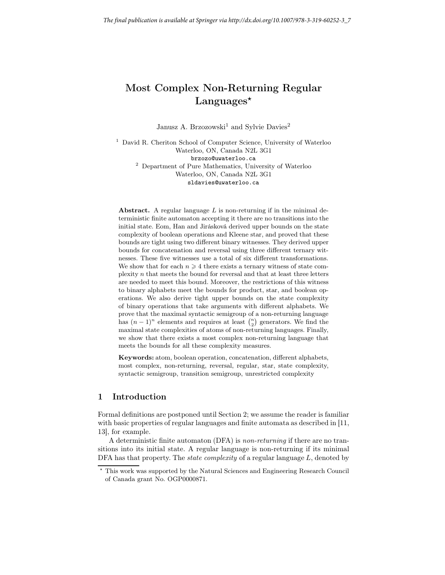# Most Complex Non-Returning Regular Languages $\star$

Janusz A. Brzozowski<sup>1</sup> and Sylvie Davies<sup>2</sup>

<sup>1</sup> David R. Cheriton School of Computer Science, University of Waterloo Waterloo, ON, Canada N2L 3G1 brzozo@uwaterloo.ca <sup>2</sup> Department of Pure Mathematics, University of Waterloo Waterloo, ON, Canada N2L 3G1 sldavies@uwaterloo.ca

Abstract. A regular language  $L$  is non-returning if in the minimal deterministic finite automaton accepting it there are no transitions into the initial state. Eom, Han and Jirásková derived upper bounds on the state complexity of boolean operations and Kleene star, and proved that these bounds are tight using two different binary witnesses. They derived upper bounds for concatenation and reversal using three different ternary witnesses. These five witnesses use a total of six different transformations. We show that for each  $n \geq 4$  there exists a ternary witness of state complexity  $n$  that meets the bound for reversal and that at least three letters are needed to meet this bound. Moreover, the restrictions of this witness to binary alphabets meet the bounds for product, star, and boolean operations. We also derive tight upper bounds on the state complexity of binary operations that take arguments with different alphabets. We prove that the maximal syntactic semigroup of a non-returning language has  $(n-1)^n$  elements and requires at least  $\binom{n}{2}$  generators. We find the maximal state complexities of atoms of non-returning languages. Finally, we show that there exists a most complex non-returning language that meets the bounds for all these complexity measures.

Keywords: atom, boolean operation, concatenation, different alphabets, most complex, non-returning, reversal, regular, star, state complexity, syntactic semigroup, transition semigroup, unrestricted complexity

## 1 Introduction

Formal definitions are postponed until Section 2; we assume the reader is familiar with basic properties of regular languages and finite automata as described in [11, 13], for example.

A deterministic finite automaton (DFA) is non-returning if there are no transitions into its initial state. A regular language is non-returning if its minimal DFA has that property. The *state complexity* of a regular language  $L$ , denoted by

<sup>⋆</sup> This work was supported by the Natural Sciences and Engineering Research Council of Canada grant No. OGP0000871.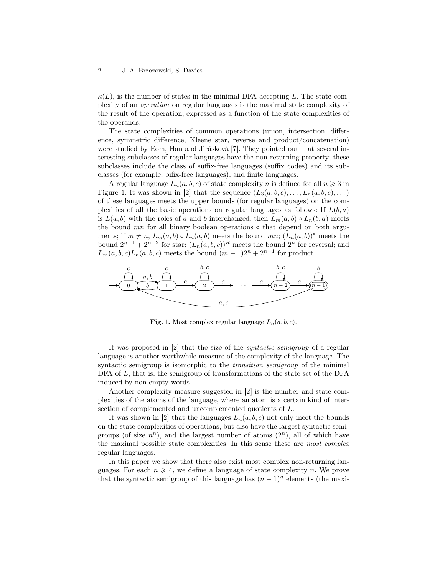$\kappa(L)$ , is the number of states in the minimal DFA accepting L. The state complexity of an operation on regular languages is the maximal state complexity of the result of the operation, expressed as a function of the state complexities of the operands.

The state complexities of common operations (union, intersection, difference, symmetric difference, Kleene star, reverse and product/concatenation) were studied by Eom, Han and Jirásková [7]. They pointed out that several interesting subclasses of regular languages have the non-returning property; these subclasses include the class of suffix-free languages (suffix codes) and its subclasses (for example, bifix-free languages), and finite languages.

A regular language  $L_n(a, b, c)$  of state complexity n is defined for all  $n \geq 3$  in Figure 1. It was shown in [2] that the sequence  $(L_3(a, b, c), \ldots, L_n(a, b, c), \ldots)$ of these languages meets the upper bounds (for regular languages) on the complexities of all the basic operations on regular languages as follows: If  $L(b, a)$ is  $L(a, b)$  with the roles of a and b interchanged, then  $L_m(a, b) \circ L_n(b, a)$  meets the bound  $mn$  for all binary boolean operations  $\circ$  that depend on both arguments; if  $m \neq n$ ,  $L_m(a, b) \circ L_n(a, b)$  meets the bound mn;  $(L_n(a, b))^*$  meets the bound  $2^{n-1} + 2^{n-2}$  for star;  $(L_n(a, b, c))^R$  meets the bound  $2^n$  for reversal; and  $L_m(a, b, c)L_n(a, b, c)$  meets the bound  $(m-1)2^n + 2^{n-1}$  for product.



Fig. 1. Most complex regular language  $L_n(a, b, c)$ .

It was proposed in [2] that the size of the syntactic semigroup of a regular language is another worthwhile measure of the complexity of the language. The syntactic semigroup is isomorphic to the *transition semigroup* of the minimal DFA of  $L$ , that is, the semigroup of transformations of the state set of the DFA induced by non-empty words.

Another complexity measure suggested in [2] is the number and state complexities of the atoms of the language, where an atom is a certain kind of intersection of complemented and uncomplemented quotients of L.

It was shown in [2] that the languages  $L_n(a, b, c)$  not only meet the bounds on the state complexities of operations, but also have the largest syntactic semigroups (of size  $n^n$ ), and the largest number of atoms  $(2^n)$ , all of which have the maximal possible state complexities. In this sense these are most complex regular languages.

In this paper we show that there also exist most complex non-returning languages. For each  $n \geq 4$ , we define a language of state complexity n. We prove that the syntactic semigroup of this language has  $(n-1)^n$  elements (the maxi-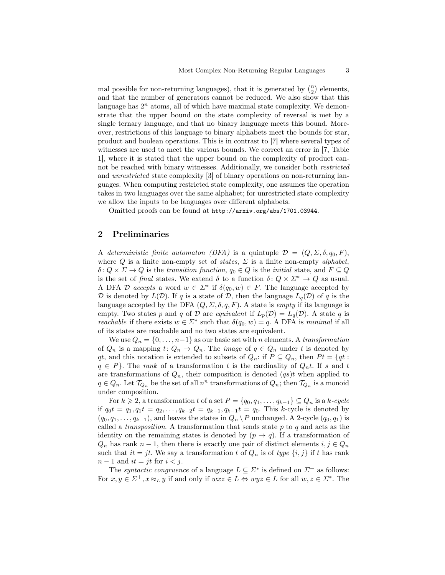mal possible for non-returning languages), that it is generated by  $\binom{n}{2}$  elements, and that the number of generators cannot be reduced. We also show that this language has  $2^n$  atoms, all of which have maximal state complexity. We demonstrate that the upper bound on the state complexity of reversal is met by a single ternary language, and that no binary language meets this bound. Moreover, restrictions of this language to binary alphabets meet the bounds for star, product and boolean operations. This is in contrast to [7] where several types of witnesses are used to meet the various bounds. We correct an error in [7, Table 1], where it is stated that the upper bound on the complexity of product cannot be reached with binary witnesses. Additionally, we consider both restricted and unrestricted state complexity [3] of binary operations on non-returning languages. When computing restricted state complexity, one assumes the operation takes in two languages over the same alphabet; for unrestricted state complexity we allow the inputs to be languages over different alphabets.

Omitted proofs can be found at http://arxiv.org/abs/1701.03944.

## 2 Preliminaries

A deterministic finite automaton (DFA) is a quintuple  $\mathcal{D} = (Q, \Sigma, \delta, q_0, F)$ , where Q is a finite non-empty set of *states*,  $\Sigma$  is a finite non-empty *alphabet*,  $\delta: Q \times \Sigma \to Q$  is the transition function,  $q_0 \in Q$  is the initial state, and  $F \subseteq Q$ is the set of final states. We extend  $\delta$  to a function  $\delta: Q \times \Sigma^* \to Q$  as usual. A DFA D accepts a word  $w \in \Sigma^*$  if  $\delta(q_0, w) \in F$ . The language accepted by D is denoted by  $L(\mathcal{D})$ . If q is a state of D, then the language  $L_q(\mathcal{D})$  of q is the language accepted by the DFA  $(Q, \Sigma, \delta, q, F)$ . A state is *empty* if its language is empty. Two states p and q of D are equivalent if  $L_p(\mathcal{D}) = L_q(\mathcal{D})$ . A state q is *reachable* if there exists  $w \in \Sigma^*$  such that  $\delta(q_0, w) = q$ . A DFA is minimal if all of its states are reachable and no two states are equivalent.

We use  $Q_n = \{0, \ldots, n-1\}$  as our basic set with n elements. A transformation of  $Q_n$  is a mapping  $t: Q_n \to Q_n$ . The *image* of  $q \in Q_n$  under t is denoted by qt, and this notation is extended to subsets of  $Q_n$ : if  $P \subseteq Q_n$ , then  $Pt = \{qt:$  $q \in P$ . The rank of a transformation t is the cardinality of  $Q_n t$ . If s and t are transformations of  $Q_n$ , their composition is denoted  $(qs)t$  when applied to  $q \in Q_n$ . Let  $\mathcal{T}_{Q_n}$  be the set of all  $n^n$  transformations of  $Q_n$ ; then  $\mathcal{T}_{Q_n}$  is a monoid under composition.

For  $k \geq 2$ , a transformation t of a set  $P = \{q_0, q_1, \ldots, q_{k-1}\} \subseteq Q_n$  is a k-cycle if  $q_0t = q_1, q_1t = q_2, \ldots, q_{k-2}t = q_{k-1}, q_{k-1}t = q_0$ . This k-cycle is denoted by  $(q_0, q_1, \ldots, q_{k-1})$ , and leaves the states in  $Q_n \backslash P$  unchanged. A 2-cycle  $(q_0, q_1)$  is called a *transposition*. A transformation that sends state  $p$  to  $q$  and acts as the identity on the remaining states is denoted by  $(p \to q)$ . If a transformation of  $Q_n$  has rank  $n-1$ , then there is exactly one pair of distinct elements  $i, j \in Q_n$ such that  $it = jt$ . We say a transformation t of  $Q_n$  is of type  $\{i, j\}$  if t has rank  $n-1$  and  $it = jt$  for  $i < j$ .

The syntactic congruence of a language  $L \subseteq \Sigma^*$  is defined on  $\Sigma^+$  as follows: For  $x, y \in \Sigma^+, x \approx_L y$  if and only if  $wxz \in L \Leftrightarrow wyz \in L$  for all  $w, z \in \Sigma^*$ . The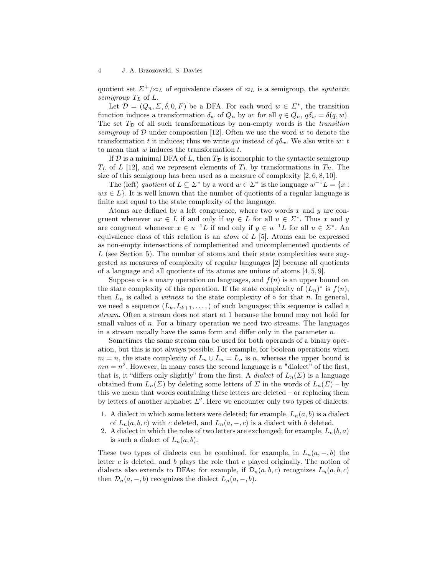quotient set  $\Sigma^+/\approx_L$  of equivalence classes of  $\approx_L$  is a semigroup, the *syntactic* semigroup  $T_L$  of  $L$ .

Let  $\mathcal{D} = (Q_n, \Sigma, \delta, 0, F)$  be a DFA. For each word  $w \in \Sigma^*$ , the transition function induces a transformation  $\delta_w$  of  $Q_n$  by w: for all  $q \in Q_n$ ,  $q\delta_w = \delta(q, w)$ . The set  $T<sub>D</sub>$  of all such transformations by non-empty words is the *transition* semigroup of  $D$  under composition [12]. Often we use the word w to denote the transformation t it induces; thus we write qw instead of  $q\delta_w$ . We also write w: t to mean that  $w$  induces the transformation  $t$ .

If  $\mathcal D$  is a minimal DFA of L, then  $T_{\mathcal D}$  is isomorphic to the syntactic semigroup  $T<sub>L</sub>$  of L [12], and we represent elements of  $T<sub>L</sub>$  by transformations in  $T<sub>D</sub>$ . The size of this semigroup has been used as a measure of complexity [2, 6, 8, 10].

The (left) quotient of  $L \subseteq \Sigma^*$  by a word  $w \in \Sigma^*$  is the language  $w^{-1}L = \{x :$  $wx \in L$ . It is well known that the number of quotients of a regular language is finite and equal to the state complexity of the language.

Atoms are defined by a left congruence, where two words x and y are congruent whenever  $ux \in L$  if and only if  $uy \in L$  for all  $u \in \Sigma^*$ . Thus x and y are congruent whenever  $x \in u^{-1}L$  if and only if  $y \in u^{-1}L$  for all  $u \in \Sigma^*$ . An equivalence class of this relation is an atom of L [5]. Atoms can be expressed as non-empty intersections of complemented and uncomplemented quotients of  $L$  (see Section 5). The number of atoms and their state complexities were suggested as measures of complexity of regular languages [2] because all quotients of a language and all quotients of its atoms are unions of atoms [4, 5, 9].

Suppose  $\circ$  is a unary operation on languages, and  $f(n)$  is an upper bound on the state complexity of this operation. If the state complexity of  $(L_n)^\circ$  is  $f(n)$ , then  $L_n$  is called a *witness* to the state complexity of  $\circ$  for that n. In general, we need a sequence  $(L_k, L_{k+1}, \ldots)$  of such languages; this sequence is called a stream. Often a stream does not start at 1 because the bound may not hold for small values of n. For a binary operation we need two streams. The languages in a stream usually have the same form and differ only in the parameter  $n$ .

Sometimes the same stream can be used for both operands of a binary operation, but this is not always possible. For example, for boolean operations when  $m = n$ , the state complexity of  $L_n \cup L_n = L_n$  is n, whereas the upper bound is  $mn = n^2$ . However, in many cases the second language is a "dialect" of the first, that is, it "differs only slightly" from the first. A *dialect* of  $L_n(\Sigma)$  is a language obtained from  $L_n(\Sigma)$  by deleting some letters of  $\Sigma$  in the words of  $L_n(\Sigma)$  – by this we mean that words containing these letters are deleted – or replacing them by letters of another alphabet  $\Sigma'$ . Here we encounter only two types of dialects:

- 1. A dialect in which some letters were deleted; for example,  $L_n(a, b)$  is a dialect of  $L_n(a, b, c)$  with c deleted, and  $L_n(a, -, c)$  is a dialect with b deleted.
- 2. A dialect in which the roles of two letters are exchanged; for example,  $L_n(b, a)$ is such a dialect of  $L_n(a, b)$ .

These two types of dialects can be combined, for example, in  $L_n(a, -, b)$  the letter c is deleted, and b plays the role that c played originally. The notion of dialects also extends to DFAs; for example, if  $\mathcal{D}_n(a, b, c)$  recognizes  $L_n(a, b, c)$ then  $\mathcal{D}_n(a, -, b)$  recognizes the dialect  $L_n(a, -, b)$ .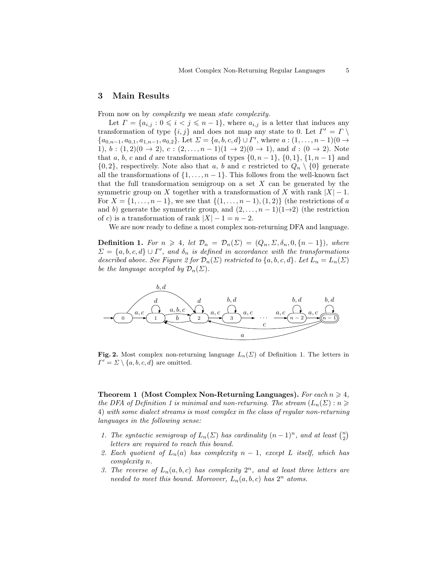## 3 Main Results

From now on by *complexity* we mean *state complexity*.

Let  $\Gamma = \{a_{i,j} : 0 \leq i < j \leq n-1\}$ , where  $a_{i,j}$  is a letter that induces any transformation of type  $\{i, j\}$  and does not map any state to 0. Let  $\Gamma' = \Gamma \setminus \Gamma$  ${a_{0,n-1}, a_{0,1}, a_{1,n-1}, a_{0,2}}.$  Let  $\Sigma = {a, b, c, d} \cup \Gamma'$ , where  $a:(1, \ldots, n-1)(0 \rightarrow$ 1),  $b:(1,2)(0 \rightarrow 2)$ ,  $c:(2,\ldots,n-1)(1 \rightarrow 2)(0 \rightarrow 1)$ , and  $d:(0 \rightarrow 2)$ . Note that a, b, c and d are transformations of types  $\{0, n-1\}$ ,  $\{0, 1\}$ ,  $\{1, n-1\}$  and  $\{0, 2\}$ , respectively. Note also that a, b and c restricted to  $Q_n \setminus \{0\}$  generate all the transformations of  $\{1, \ldots, n-1\}$ . This follows from the well-known fact that the full transformation semigroup on a set  $X$  can be generated by the symmetric group on X together with a transformation of X with rank  $|X| - 1$ . For  $X = \{1, \ldots, n-1\}$ , we see that  $\{(1, \ldots, n-1), (1, 2)\}$  (the restrictions of a and b) generate the symmetric group, and  $(2, \ldots, n-1)(1\rightarrow 2)$  (the restriction of c) is a transformation of rank  $|X| - 1 = n - 2$ .

We are now ready to define a most complex non-returning DFA and language.

**Definition 1.** For  $n \geq 4$ , let  $\mathcal{D}_n = \mathcal{D}_n(\Sigma) = (Q_n, \Sigma, \delta_n, 0, \{n-1\})$ , where  $\Sigma = \{a, b, c, d\} \cup \Gamma'$ , and  $\delta_n$  is defined in accordance with the transformations described above. See Figure 2 for  $\mathcal{D}_n(\Sigma)$  restricted to  $\{a, b, c, d\}$ . Let  $L_n = L_n(\Sigma)$ be the language accepted by  $\mathcal{D}_n(\Sigma)$ .



Fig. 2. Most complex non-returning language  $L_n(\Sigma)$  of Definition 1. The letters in  $\Gamma' = \Sigma \setminus \{a, b, c, d\}$  are omitted.

Theorem 1 (Most Complex Non-Returning Languages). For each  $n \geq 4$ , the DFA of Definition 1 is minimal and non-returning. The stream  $(L_n(\Sigma) : n \geq$ 4) with some dialect streams is most complex in the class of regular non-returning languages in the following sense:

- 1. The syntactic semigroup of  $L_n(\Sigma)$  has cardinality  $(n-1)^n$ , and at least  $\binom{n}{2}$ letters are required to reach this bound.
- 2. Each quotient of  $L_n(a)$  has complexity  $n-1$ , except L itself, which has complexity n.
- 3. The reverse of  $L_n(a, b, c)$  has complexity  $2^n$ , and at least three letters are needed to meet this bound. Moreover,  $L_n(a, b, c)$  has  $2^n$  atoms.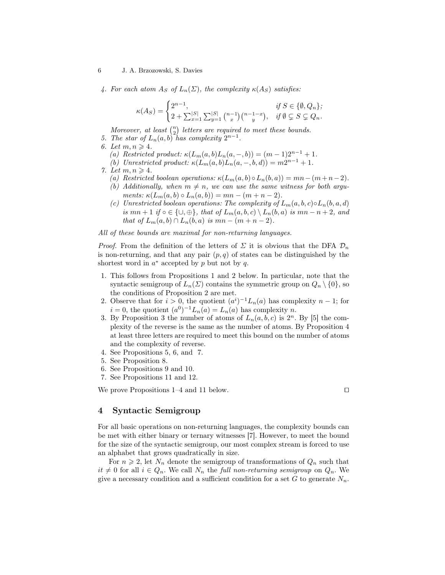4. For each atom  $A_S$  of  $L_n(\Sigma)$ , the complexity  $\kappa(A_S)$  satisfies:

$$
\kappa(A_S)=\begin{cases} 2^{n-1},&\text{if }S\in\{\emptyset,Q_n\};\\ 2+\sum_{x=1}^{|S|}\sum_{y=1}^{|S|}{n-1\choose x}{n-1-x\choose y},&\text{if }\emptyset\subsetneq S\subsetneq Q_n. \end{cases}
$$

Moreover, at least  $\binom{n}{2}$  letters are required to meet these bounds.

- 5. The star of  $L_n(a, b)$  has complexity  $2^{n-1}$ .
- 6. Let  $m, n \geq 4$ .
	- (a) Restricted product:  $\kappa(L_m(a, b)L_n(a, -, b)) = (m-1)2^{n-1} + 1$ .
	- (b) Unrestricted product:  $\kappa(L_m(a, b)L_n(a, -, b, d)) = m2^{n-1} + 1$ .
- 7. Let  $m, n \geq 4$ .
	- (a) Restricted boolean operations:  $\kappa(L_m(a, b) \circ L_n(b, a)) = mn (m+n-2)$ .
	- (b) Additionally, when  $m \neq n$ , we can use the same witness for both arguments:  $\kappa(L_m(a, b) \circ L_n(a, b)) = mn - (m + n - 2)$ .
	- (c) Unrestricted boolean operations: The complexity of  $L_m(a, b, c) \circ L_n(b, a, d)$ is  $mn+1$  if  $\circ \in \{\cup, \oplus\}$ , that of  $L_m(a, b, c) \setminus L_n(b, a)$  is  $mn-n+2$ , and that of  $L_m(a, b) \cap L_n(b, a)$  is  $mn - (m + n - 2)$ .

All of these bounds are maximal for non-returning languages.

*Proof.* From the definition of the letters of  $\Sigma$  it is obvious that the DFA  $\mathcal{D}_n$ is non-returning, and that any pair  $(p, q)$  of states can be distinguished by the shortest word in  $a^*$  accepted by p but not by q.

- 1. This follows from Propositions 1 and 2 below. In particular, note that the syntactic semigroup of  $L_n(\Sigma)$  contains the symmetric group on  $Q_n \setminus \{0\}$ , so the conditions of Proposition 2 are met.
- 2. Observe that for  $i > 0$ , the quotient  $(a^i)^{-1} L_n(a)$  has complexity  $n-1$ ; for  $i = 0$ , the quotient  $(a^0)^{-1} L_n(a) = L_n(a)$  has complexity n.
- 3. By Proposition 3 the number of atoms of  $L_n(a, b, c)$  is  $2^n$ . By [5] the complexity of the reverse is the same as the number of atoms. By Proposition 4 at least three letters are required to meet this bound on the number of atoms and the complexity of reverse.
- 4. See Propositions 5, 6, and 7.
- 5. See Proposition 8.
- 6. See Propositions 9 and 10.
- 7. See Propositions 11 and 12.

We prove Propositions 1–4 and 11 below. □

## 4 Syntactic Semigroup

For all basic operations on non-returning languages, the complexity bounds can be met with either binary or ternary witnesses [7]. However, to meet the bound for the size of the syntactic semigroup, our most complex stream is forced to use an alphabet that grows quadratically in size.

For  $n \geq 2$ , let  $N_n$  denote the semigroup of transformations of  $Q_n$  such that  $it \neq 0$  for all  $i \in Q_n$ . We call  $N_n$  the full non-returning semigroup on  $Q_n$ . We give a necessary condition and a sufficient condition for a set G to generate  $N_n$ .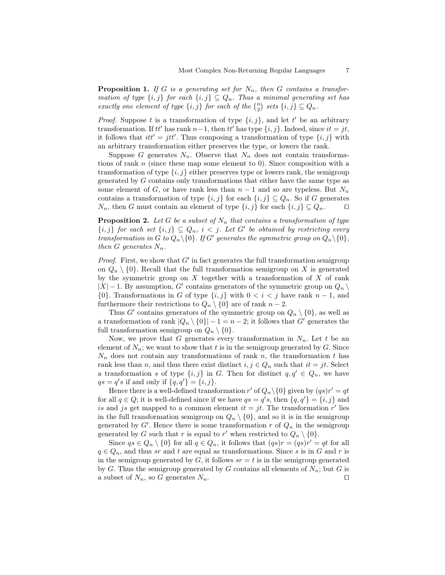**Proposition 1.** If G is a generating set for  $N_n$ , then G contains a transformation of type  $\{i, j\}$  for each  $\{i, j\} \subseteq Q_n$ . Thus a minimal generating set has exactly one element of type  $\{i, j\}$  for each of the  $\binom{n}{2}$  sets  $\{i, j\} \subseteq Q_n$ .

*Proof.* Suppose t is a transformation of type  $\{i, j\}$ , and let t' be an arbitrary transformation. If tt' has rank  $n-1$ , then tt' has type  $\{i, j\}$ . Indeed, since  $it = jt$ , it follows that  $it' = jtt'$ . Thus composing a transformation of type  $\{i, j\}$  with an arbitrary transformation either preserves the type, or lowers the rank.

Suppose G generates  $N_n$ . Observe that  $N_n$  does not contain transformations of rank  $n$  (since these map some element to 0). Since composition with a transformation of type  $\{i, j\}$  either preserves type or lowers rank, the semigroup generated by G contains only transformations that either have the same type as some element of G, or have rank less than  $n-1$  and so are typeless. But  $N_n$ contains a transformation of type  $\{i, j\}$  for each  $\{i, j\} \subseteq Q_n$ . So if G generates  $N_n$ , then G must contain an element of type  $\{i, j\}$  for each  $\{i, j\} \subseteq Q_n$ . □

**Proposition 2.** Let G be a subset of  $N_n$  that contains a transformation of type  $\{i, j\}$  for each set  $\{i, j\} \subseteq Q_n$ ,  $i < j$ . Let G' be obtained by restricting every transformation in G to  $Q_n \backslash \{0\}$ . If G' generates the symmetric group on  $Q_n \backslash \{0\}$ , then G generates  $N_n$ .

*Proof.* First, we show that  $G'$  in fact generates the full transformation semigroup on  $Q_n \setminus \{0\}$ . Recall that the full transformation semigroup on X is generated by the symmetric group on  $X$  together with a transformation of  $X$  of rank  $|X| - 1$ . By assumption, G' contains generators of the symmetric group on  $Q_n \setminus$ {0}. Transformations in G of type  $\{i, j\}$  with  $0 < i < j$  have rank  $n - 1$ , and furthermore their restrictions to  $Q_n \setminus \{0\}$  are of rank  $n-2$ .

Thus G' contains generators of the symmetric group on  $Q_n \setminus \{0\}$ , as well as a transformation of rank  $|Q_n \setminus \{0\}| - 1 = n - 2$ ; it follows that G' generates the full transformation semigroup on  $Q_n \setminus \{0\}.$ 

Now, we prove that G generates every transformation in  $N_n$ . Let t be an element of  $N_n$ ; we want to show that t is in the semigroup generated by G. Since  $N_n$  does not contain any transformations of rank n, the transformation t has rank less than n, and thus there exist distinct  $i, j \in Q_n$  such that  $it = jt$ . Select a transformation s of type  $\{i, j\}$  in G. Then for distinct  $q, q' \in Q_n$ , we have  $qs = q's$  if and only if  $\{q, q'\} = \{i, j\}.$ 

Hence there is a well-defined transformation  $r'$  of  $Q_n \setminus \{0\}$  given by  $(qs)r' = qt$ for all  $q \in Q$ ; it is well-defined since if we have  $qs = q's$ , then  $\{q, q'\} = \{i, j\}$  and is and js get mapped to a common element  $it = jt$ . The transformation r' lies in the full transformation semigroup on  $Q_n \setminus \{0\}$ , and so it is in the semigroup generated by  $G'$ . Hence there is some transformation r of  $Q_n$  in the semigroup generated by G such that r is equal to r' when restricted to  $Q_n \setminus \{0\}$ .

Since  $qs \in Q_n \setminus \{0\}$  for all  $q \in Q_n$ , it follows that  $(qs)r = (qs)r' = qt$  for all  $q \in Q_n$ , and thus sr and t are equal as transformations. Since s is in G and r is in the semigroup generated by  $G$ , it follows  $sr = t$  is in the semigroup generated by G. Thus the semigroup generated by G contains all elements of  $N_n$ ; but G is a subset of  $N_n$ , so G generates  $N_n$ . □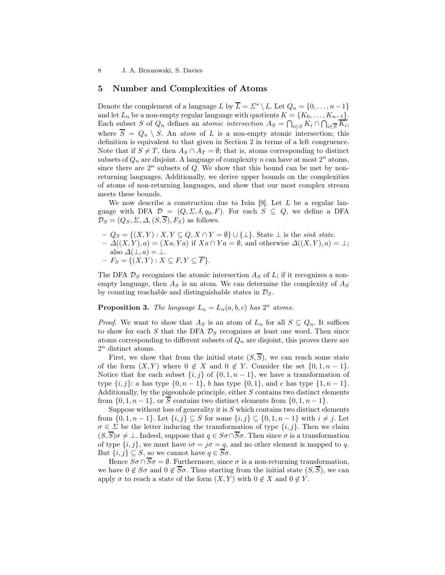## 5 Number and Complexities of Atoms

Denote the complement of a language L by  $\overline{L} = \Sigma^* \setminus L$ . Let  $Q_n = \{0, \ldots, n-1\}$ and let  $L_n$  be a non-empty regular language with quotients  $K = \{K_0, \ldots, K_{n-1}\}.$ Each subset S of  $Q_n$  defines an *atomic intersection*  $A_S = \bigcap_{i \in S} K_i \cap \bigcap_{i \in \overline{S}} K_i$ , where  $\overline{S} = Q_n \setminus S$ . An *atom* of L is a non-empty atomic intersection; this definition is equivalent to that given in Section 2 in terms of a left congruence. Note that if  $S \neq T$ , then  $A_S \cap A_T = \emptyset$ ; that is, atoms corresponding to distinct subsets of  $Q_n$  are disjoint. A language of complexity n can have at most  $2^n$  atoms, since there are  $2^n$  subsets of  $Q$ . We show that this bound can be met by nonreturning languages. Additionally, we derive upper bounds on the complexities of atoms of non-returning languages, and show that our most complex stream meets these bounds.

We now describe a construction due to Iván  $[9]$ . Let L be a regular language with DFA  $\mathcal{D} = (Q, \Sigma, \delta, q_0, F)$ . For each  $S \subseteq Q$ , we define a DFA  $\mathcal{D}_S = (Q_S, \Sigma, \Delta, (S, \overline{S}), F_S)$  as follows.

 $-Q_S = \{(X, Y) : X, Y \subseteq Q, X \cap Y = \emptyset\} \cup \{\bot\}.$  State  $\bot$  is the sink state.  $-\Delta((X, Y), a) = (Xa, Ya)$  if  $Xa \cap Ya = \emptyset$ , and otherwise  $\Delta((X, Y), a) = \bot$ ; also  $\Delta(\perp, a) = \perp$ .  $-F_S = \{(X, Y) : X \subseteq F, Y \subseteq \overline{F}\}.$ 

The DFA  $\mathcal{D}_S$  recognizes the atomic intersection  $A_S$  of  $L$ ; if it recognizes a nonempty language, then  $A<sub>S</sub>$  is an atom. We can determine the complexity of  $A<sub>S</sub>$ by counting reachable and distinguishable states in  $\mathcal{D}_S$ .

## **Proposition 3.** The language  $L_n = L_n(a, b, c)$  has  $2^n$  atoms.

*Proof.* We want to show that  $A_S$  is an atom of  $L_n$  for all  $S \subseteq Q_n$ . It suffices to show for each S that the DFA  $\mathcal{D}_S$  recognizes at least one word. Then since atoms corresponding to different subsets of  $Q_n$  are disjoint, this proves there are  $2^n$  distinct atoms.

First, we show that from the initial state  $(S,\overline{S})$ , we can reach some state of the form  $(X, Y)$  where  $0 \notin X$  and  $0 \notin Y$ . Consider the set  $\{0, 1, n-1\}$ . Notice that for each subset  $\{i, j\}$  of  $\{0, 1, n-1\}$ , we have a transformation of type  $\{i, j\}$ : a has type  $\{0, n-1\}$ , b has type  $\{0, 1\}$ , and c has type  $\{1, n-1\}$ . Additionally, by the pigeonhole principle, either  $S$  contains two distinct elements from  $\{0, 1, n-1\}$ , or  $\overline{S}$  contains two distinct elements from  $\{0, 1, n-1\}$ .

Suppose without loss of generality it is  $S$  which contains two distinct elements from  $\{0, 1, n-1\}$ . Let  $\{i, j\} \subseteq S$  for some  $\{i, j\} \subseteq \{0, 1, n-1\}$  with  $i \neq j$ . Let  $\sigma \in \Sigma$  be the letter inducing the transformation of type  $\{i, j\}$ . Then we claim  $(S,\overline{S})\sigma \neq \bot$ . Indeed, suppose that  $q \in S\sigma \cap \overline{S}\sigma$ . Then since  $\sigma$  is a transformation of type  $\{i, j\}$ , we must have  $i\sigma = j\sigma = q$ , and no other element is mapped to q. But  $\{i, j\} \subseteq S$ , so we cannot have  $q \in \overline{S}\sigma$ .

Hence  $S\sigma \cap \overline{S}\sigma = \emptyset$ . Furthermore, since  $\sigma$  is a non-returning transformation, we have  $0 \notin S\sigma$  and  $0 \notin \overline{S}\sigma$ . Thus starting from the initial state  $(S,\overline{S})$ , we can apply  $\sigma$  to reach a state of the form  $(X, Y)$  with  $0 \notin X$  and  $0 \notin Y$ .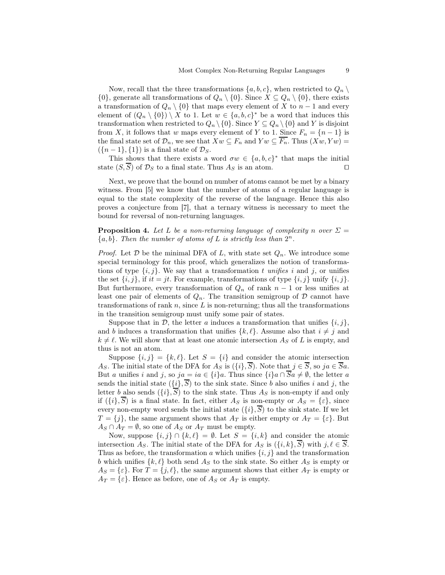Now, recall that the three transformations  $\{a, b, c\}$ , when restricted to  $Q_n \setminus$  $\{0\}$ , generate all transformations of  $Q_n \setminus \{0\}$ . Since  $X \subseteq Q_n \setminus \{0\}$ , there exists a transformation of  $Q_n \setminus \{0\}$  that maps every element of X to  $n-1$  and every element of  $(Q_n \setminus \{0\}) \setminus X$  to 1. Let  $w \in \{a, b, c\}^*$  be a word that induces this transformation when restricted to  $Q_n \setminus \{0\}$ . Since  $Y \subseteq Q_n \setminus \{0\}$  and Y is disjoint from X, it follows that w maps every element of Y to 1. Since  $F_n = \{n-1\}$  is the final state set of  $\mathcal{D}_n$ , we see that  $Xw \subseteq F_n$  and  $Yw \subseteq \overline{F_n}$ . Thus  $(Xw, Yw) =$  $({n-1}, {1})$  is a final state of  $\mathcal{D}_S$ .

This shows that there exists a word  $\sigma w \in \{a, b, c\}^*$  that maps the initial state  $(S,\overline{S})$  of  $\mathcal{D}_S$  to a final state. Thus  $A_S$  is an atom. □

Next, we prove that the bound on number of atoms cannot be met by a binary witness. From [5] we know that the number of atoms of a regular language is equal to the state complexity of the reverse of the language. Hence this also proves a conjecture from [7], that a ternary witness is necessary to meet the bound for reversal of non-returning languages.

**Proposition 4.** Let L be a non-returning language of complexity n over  $\Sigma$  ${a,b}.$  Then the number of atoms of L is strictly less than  $2^n$ .

*Proof.* Let  $D$  be the minimal DFA of L, with state set  $Q_n$ . We introduce some special terminology for this proof, which generalizes the notion of transformations of type  $\{i, j\}$ . We say that a transformation t unifies i and j, or unifies the set  $\{i, j\}$ , if  $it = jt$ . For example, transformations of type  $\{i, j\}$  unify  $\{i, j\}$ . But furthermore, every transformation of  $Q_n$  of rank  $n-1$  or less unifies at least one pair of elements of  $Q_n$ . The transition semigroup of D cannot have transformations of rank  $n$ , since  $L$  is non-returning; thus all the transformations in the transition semigroup must unify some pair of states.

Suppose that in  $\mathcal{D}$ , the letter a induces a transformation that unifies  $\{i, j\}$ , and b induces a transformation that unifies  $\{k, \ell\}$ . Assume also that  $i \neq j$  and  $k \neq \ell$ . We will show that at least one atomic intersection  $A_S$  of L is empty, and thus is not an atom.

Suppose  $\{i, j\} = \{k, \ell\}$ . Let  $S = \{i\}$  and consider the atomic intersection As. The initial state of the DFA for  $A_S$  is  $(\{i\}, \overline{S})$ . Note that  $j \in \overline{S}$ , so  $ja \in \overline{S}a$ . But a unifies i and j, so  $ja = ia \in \{i\}a$ . Thus since  $\{i\}a \cap \overline{S}a \neq \emptyset$ , the letter a sends the initial state  $({i}, \overline{S})$  to the sink state. Since b also unifies i and j, the letter b also sends  $({i}, \overline{S})$  to the sink state. Thus  $A_S$  is non-empty if and only if  $(\{i\}, \overline{S})$  is a final state. In fact, either  $A_S$  is non-empty or  $A_S = \{\varepsilon\}$ , since every non-empty word sends the initial state  $({i}, \overline{S})$  to the sink state. If we let  $T = \{j\}$ , the same argument shows that  $A_T$  is either empty or  $A_T = \{\varepsilon\}$ . But  $A_S \cap A_T = \emptyset$ , so one of  $A_S$  or  $A_T$  must be empty.

Now, suppose  $\{i, j\} \cap \{k, \ell\} = \emptyset$ . Let  $S = \{i, k\}$  and consider the atomic intersection  $A_S$ . The initial state of the DFA for  $A_S$  is  $(\{i, k\}, \overline{S})$  with  $j, \ell \in \overline{S}$ . Thus as before, the transformation a which unifies  $\{i, j\}$  and the transformation b which unifies  $\{k, \ell\}$  both send  $A_S$  to the sink state. So either  $A_S$  is empty or  $A_S = \{\varepsilon\}.$  For  $T = \{j, \ell\},$  the same argument shows that either  $A_T$  is empty or  $A_T = \{\varepsilon\}.$  Hence as before, one of  $A_S$  or  $A_T$  is empty.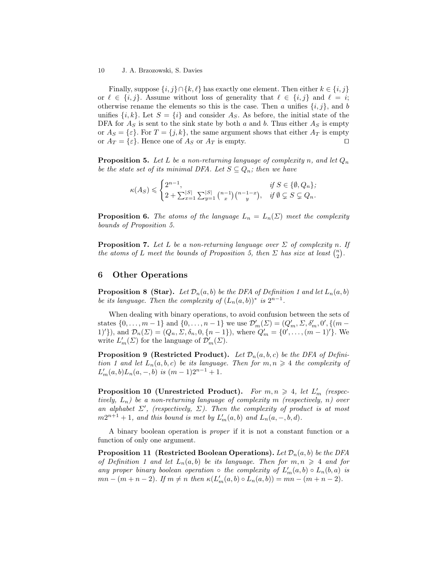Finally, suppose  $\{i, j\} \cap \{k, \ell\}$  has exactly one element. Then either  $k \in \{i, j\}$ or  $\ell \in \{i, j\}$ . Assume without loss of generality that  $\ell \in \{i, j\}$  and  $\ell = i$ ; otherwise rename the elements so this is the case. Then a unifies  $\{i, j\}$ , and b unifies  $\{i, k\}$ . Let  $S = \{i\}$  and consider  $A_S$ . As before, the initial state of the DFA for  $A<sub>S</sub>$  is sent to the sink state by both a and b. Thus either  $A<sub>S</sub>$  is empty or  $A_S = \{\varepsilon\}$ . For  $T = \{j, k\}$ , the same argument shows that either  $A_T$  is empty or  $A_T = \{\varepsilon\}$ . Hence one of  $A_S$  or  $A_T$  is empty. □

**Proposition 5.** Let L be a non-returning language of complexity n, and let  $Q_n$ be the state set of its minimal DFA. Let  $S \subseteq Q_n$ ; then we have

$$
\kappa(A_S) \leqslant \begin{cases} 2^{n-1}, & \text{if } S \in \{ \emptyset, Q_n \}; \\ 2 + \sum_{x=1}^{|S|} \sum_{y=1}^{|S|} \binom{n-1}{x} \binom{n-1-x}{y}, & \text{if } \emptyset \subsetneq S \subsetneq Q_n. \end{cases}
$$

**Proposition 6.** The atoms of the language  $L_n = L_n(\Sigma)$  meet the complexity bounds of Proposition 5.

**Proposition 7.** Let L be a non-returning language over  $\Sigma$  of complexity n. If the atoms of L meet the bounds of Proposition 5, then  $\Sigma$  has size at least  $\binom{n}{2}$ .

## 6 Other Operations

**Proposition 8 (Star).** Let  $\mathcal{D}_n(a, b)$  be the DFA of Definition 1 and let  $L_n(a, b)$ be its language. Then the complexity of  $(L_n(a, b))^*$  is  $2^{n-1}$ .

When dealing with binary operations, to avoid confusion between the sets of states  $\{0, ..., m-1\}$  and  $\{0, ..., n-1\}$  we use  $\mathcal{D}'_m(\Sigma) = (Q'_m, \Sigma, \delta'_m, 0', \{(m-1)\})$ 1)'}), and  $\mathcal{D}_n(\Sigma) = (Q_n, \Sigma, \delta_n, 0, \{n-1\}),$  where  $Q'_m = \{0', \ldots, (m-1)'\}.$  We write  $L'_m(\Sigma)$  for the language of  $\mathcal{D}'_m(\Sigma)$ .

**Proposition 9 (Restricted Product).** Let  $\mathcal{D}_n(a, b, c)$  be the DFA of Definition 1 and let  $L_n(a, b, c)$  be its language. Then for  $m, n \geq 4$  the complexity of  $L'_m(a, b)L_n(a, -, b)$  is  $(m-1)2^{n-1} + 1$ .

Proposition 10 (Unrestricted Product). For  $m, n \geq 4$ , let  $L'_m$  (respectively,  $L_n$ ) be a non-returning language of complexity m (respectively, n) over an alphabet  $\Sigma'$ , (respectively,  $\Sigma$ ). Then the complexity of product is at most  $m2^{n+1}+1$ , and this bound is met by  $L'_m(a,b)$  and  $L_n(a,-,b,d)$ .

A binary boolean operation is proper if it is not a constant function or a function of only one argument.

**Proposition 11 (Restricted Boolean Operations).** Let  $\mathcal{D}_n(a, b)$  be the DFA of Definition 1 and let  $L_n(a, b)$  be its language. Then for  $m, n \geq 4$  and for any proper binary boolean operation  $\circ$  the complexity of  $L'_m(a,b) \circ L_n(b,a)$  is  $mn - (m + n - 2)$ . If  $m \neq n$  then  $\kappa(L'_m(a, b) \circ L_n(a, b)) = mn - (m + n - 2)$ .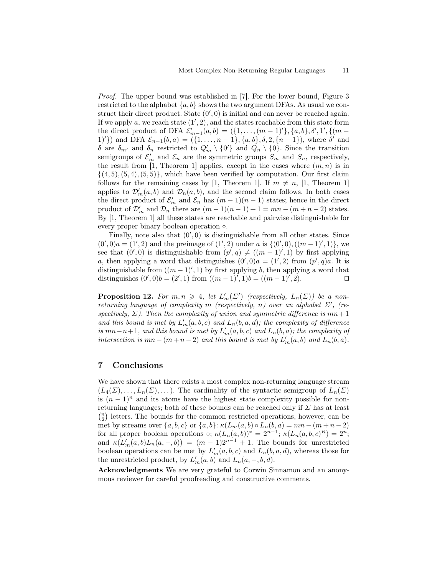Proof. The upper bound was established in [7]. For the lower bound, Figure 3 restricted to the alphabet  $\{a, b\}$  shows the two argument DFAs. As usual we construct their direct product. State  $(0', 0)$  is initial and can never be reached again. If we apply  $a$ , we reach state  $(1', 2)$ , and the states reachable from this state form the direct product of DFA  $\mathcal{E}'_{m-1}(a,b) = (\{1, ..., (m-1)'\}, \{a,b\}, \delta', 1', \{(m-1)'\})$ 1)'}) and DFA  $\mathcal{E}_{n-1}(b, a) = (\{1, ..., n-1\}, \{a, b\}, \delta, 2, \{n-1\})$ , where  $\delta'$  and δ are  $\delta_{m'}$  and  $\delta_n$  restricted to  $Q'_m \setminus \{0\}$  and  $Q_n \setminus \{0\}$ . Since the transition semigroups of  $\mathcal{E}'_m$  and  $\mathcal{E}_n$  are the symmetric groups  $S_m$  and  $S_n$ , respectively, the result from [1, Theorem 1] applies, except in the cases where  $(m, n)$  is in  $\{(4, 5), (5, 4), (5, 5)\}\$ , which have been verified by computation. Our first claim follows for the remaining cases by [1, Theorem 1]. If  $m \neq n$ , [1, Theorem 1] applies to  $\mathcal{D}'_m(a, b)$  and  $\mathcal{D}_n(a, b)$ , and the second claim follows. In both cases the direct product of  $\mathcal{E}'_m$  and  $\mathcal{E}_n$  has  $(m-1)(n-1)$  states; hence in the direct product of  $\mathcal{D}'_m$  and  $\mathcal{D}_n$  there are  $(m-1)(n-1)+1=mn-(m+n-2)$  states. By [1, Theorem 1] all these states are reachable and pairwise distinguishable for every proper binary boolean operation ◦.

Finally, note also that  $(0', 0)$  is distinguishable from all other states. Since  $(0',0)a = (1',2)$  and the preimage of  $(1',2)$  under a is  $\{(0',0), ((m-1)',1)\}$ , we see that  $(0',0)$  is distinguishable from  $(p',q) \neq ((m-1)',1)$  by first applying a, then applying a word that distinguishes  $(0',0)a = (1',2)$  from  $(p',q)a$ . It is distinguishable from  $((m-1)', 1)$  by first applying b, then applying a word that distinguishes  $(0',0)b = (2',1)$  from  $((m-1)',1)b = ((m-1)',2)$ .

**Proposition 12.** For  $m, n \geq 4$ , let  $L'_m(\Sigma')$  (respectively,  $L_n(\Sigma)$ ) be a nonreturning language of complexity m (respectively, n) over an alphabet  $\Sigma'$ , (respectively,  $\Sigma$ ). Then the complexity of union and symmetric difference is mn + 1 and this bound is met by  $L'_m(a, b, c)$  and  $L_n(b, a, d)$ ; the complexity of difference is  $mn-n+1$ , and this bound is met by  $L'_m(a, b, c)$  and  $L_n(b, a)$ ; the complexity of intersection is  $mn - (m + n - 2)$  and this bound is met by  $L'_m(a, b)$  and  $L_n(b, a)$ .

## 7 Conclusions

We have shown that there exists a most complex non-returning language stream  $(L_4(\Sigma), \ldots, L_n(\Sigma), \ldots)$ . The cardinality of the syntactic semigroup of  $L_n(\Sigma)$ is  $(n-1)^n$  and its atoms have the highest state complexity possible for nonreturning languages; both of these bounds can be reached only if  $\Sigma$  has at least  $\binom{n}{2}$  letters. The bounds for the common restricted operations, however, can be met by streams over  $\{a, b, c\}$  or  $\{a, b\}$ :  $\kappa(L_m(a, b) \circ L_n(b, a) = mn - (m + n - 2)$ for all proper boolean operations  $\circ; \kappa(L_n(a, b))^* = 2^{n-1}; \kappa(L_n(a, b, c)^R) = 2^n;$ and  $\kappa(L'_m(a,b)L_n(a,-,b)) = (m-1)2^{n-1} + 1$ . The bounds for unrestricted boolean operations can be met by  $L'_m(a, b, c)$  and  $L_n(b, a, d)$ , whereas those for the unrestricted product, by  $L'_m(a, b)$  and  $L_n(a, -, b, d)$ .

Acknowledgments We are very grateful to Corwin Sinnamon and an anonymous reviewer for careful proofreading and constructive comments.